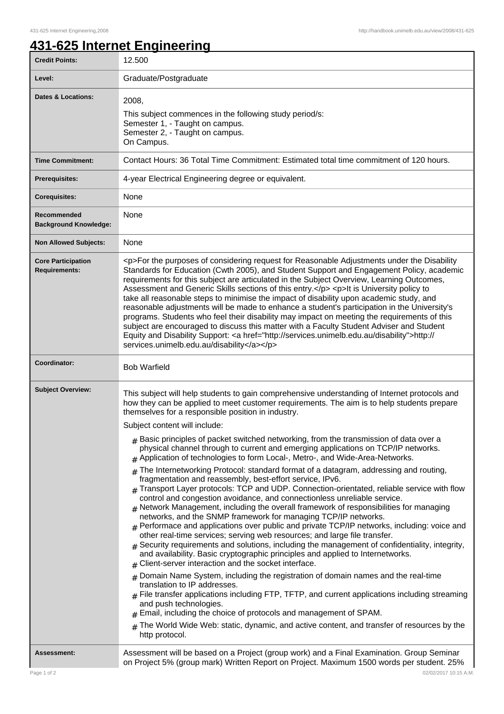٦

## **431-625 Internet Engineering**

| <b>Credit Points:</b>                             | 12.500                                                                                                                                                                                                                                                                                                                                                                                                                                                                                                                                                                                                                                                                                                                                                                                                                                                                                                                                                                                                                                                                                                                                                                                                                                                                                                                                                                                                                                                                                                                                                                                                                                                                                                                                                                                                                                                                                                                                     |
|---------------------------------------------------|--------------------------------------------------------------------------------------------------------------------------------------------------------------------------------------------------------------------------------------------------------------------------------------------------------------------------------------------------------------------------------------------------------------------------------------------------------------------------------------------------------------------------------------------------------------------------------------------------------------------------------------------------------------------------------------------------------------------------------------------------------------------------------------------------------------------------------------------------------------------------------------------------------------------------------------------------------------------------------------------------------------------------------------------------------------------------------------------------------------------------------------------------------------------------------------------------------------------------------------------------------------------------------------------------------------------------------------------------------------------------------------------------------------------------------------------------------------------------------------------------------------------------------------------------------------------------------------------------------------------------------------------------------------------------------------------------------------------------------------------------------------------------------------------------------------------------------------------------------------------------------------------------------------------------------------------|
| Level:                                            | Graduate/Postgraduate                                                                                                                                                                                                                                                                                                                                                                                                                                                                                                                                                                                                                                                                                                                                                                                                                                                                                                                                                                                                                                                                                                                                                                                                                                                                                                                                                                                                                                                                                                                                                                                                                                                                                                                                                                                                                                                                                                                      |
| <b>Dates &amp; Locations:</b>                     | 2008,<br>This subject commences in the following study period/s:<br>Semester 1, - Taught on campus.<br>Semester 2, - Taught on campus.<br>On Campus.                                                                                                                                                                                                                                                                                                                                                                                                                                                                                                                                                                                                                                                                                                                                                                                                                                                                                                                                                                                                                                                                                                                                                                                                                                                                                                                                                                                                                                                                                                                                                                                                                                                                                                                                                                                       |
| <b>Time Commitment:</b>                           | Contact Hours: 36 Total Time Commitment: Estimated total time commitment of 120 hours.                                                                                                                                                                                                                                                                                                                                                                                                                                                                                                                                                                                                                                                                                                                                                                                                                                                                                                                                                                                                                                                                                                                                                                                                                                                                                                                                                                                                                                                                                                                                                                                                                                                                                                                                                                                                                                                     |
| <b>Prerequisites:</b>                             | 4-year Electrical Engineering degree or equivalent.                                                                                                                                                                                                                                                                                                                                                                                                                                                                                                                                                                                                                                                                                                                                                                                                                                                                                                                                                                                                                                                                                                                                                                                                                                                                                                                                                                                                                                                                                                                                                                                                                                                                                                                                                                                                                                                                                        |
| <b>Corequisites:</b>                              | None                                                                                                                                                                                                                                                                                                                                                                                                                                                                                                                                                                                                                                                                                                                                                                                                                                                                                                                                                                                                                                                                                                                                                                                                                                                                                                                                                                                                                                                                                                                                                                                                                                                                                                                                                                                                                                                                                                                                       |
| Recommended<br><b>Background Knowledge:</b>       | None                                                                                                                                                                                                                                                                                                                                                                                                                                                                                                                                                                                                                                                                                                                                                                                                                                                                                                                                                                                                                                                                                                                                                                                                                                                                                                                                                                                                                                                                                                                                                                                                                                                                                                                                                                                                                                                                                                                                       |
| <b>Non Allowed Subjects:</b>                      | None                                                                                                                                                                                                                                                                                                                                                                                                                                                                                                                                                                                                                                                                                                                                                                                                                                                                                                                                                                                                                                                                                                                                                                                                                                                                                                                                                                                                                                                                                                                                                                                                                                                                                                                                                                                                                                                                                                                                       |
| <b>Core Participation</b><br><b>Requirements:</b> | <p>For the purposes of considering request for Reasonable Adjustments under the Disability<br/>Standards for Education (Cwth 2005), and Student Support and Engagement Policy, academic<br/>requirements for this subject are articulated in the Subject Overview, Learning Outcomes,<br/>Assessment and Generic Skills sections of this entry.</p> <p>lt is University policy to<br/>take all reasonable steps to minimise the impact of disability upon academic study, and<br/>reasonable adjustments will be made to enhance a student's participation in the University's<br/>programs. Students who feel their disability may impact on meeting the requirements of this<br/>subject are encouraged to discuss this matter with a Faculty Student Adviser and Student<br/>Equity and Disability Support: &lt; a href="http://services.unimelb.edu.au/disability"&gt;http://<br/>services.unimelb.edu.au/disability</p>                                                                                                                                                                                                                                                                                                                                                                                                                                                                                                                                                                                                                                                                                                                                                                                                                                                                                                                                                                                                               |
| Coordinator:                                      | <b>Bob Warfield</b>                                                                                                                                                                                                                                                                                                                                                                                                                                                                                                                                                                                                                                                                                                                                                                                                                                                                                                                                                                                                                                                                                                                                                                                                                                                                                                                                                                                                                                                                                                                                                                                                                                                                                                                                                                                                                                                                                                                        |
| <b>Subject Overview:</b>                          | This subject will help students to gain comprehensive understanding of Internet protocols and<br>how they can be applied to meet customer requirements. The aim is to help students prepare<br>themselves for a responsible position in industry.<br>Subject content will include:<br>$#$ Basic principles of packet switched networking, from the transmission of data over a<br>physical channel through to current and emerging applications on TCP/IP networks.<br># Application of technologies to form Local-, Metro-, and Wide-Area-Networks.<br>The Internetworking Protocol: standard format of a datagram, addressing and routing,<br>#<br>fragmentation and reassembly, best-effort service, IPv6.<br>$_{\rm #}$ Transport Layer protocols: TCP and UDP. Connection-orientated, reliable service with flow<br>control and congestion avoidance, and connectionless unreliable service.<br>$#$ Network Management, including the overall framework of responsibilities for managing<br>networks, and the SNMP framework for managing TCP/IP networks.<br>$*$ Performace and applications over public and private TCP/IP networks, including: voice and<br>other real-time services; serving web resources; and large file transfer.<br>Security requirements and solutions, including the management of confidentiality, integrity,<br>and availability. Basic cryptographic principles and applied to Internetworks.<br>Client-server interaction and the socket interface.<br>#<br>Domain Name System, including the registration of domain names and the real-time<br>#<br>translation to IP addresses.<br>$#$ File transfer applications including FTP, TFTP, and current applications including streaming<br>and push technologies.<br>Email, including the choice of protocols and management of SPAM.<br>The World Wide Web: static, dynamic, and active content, and transfer of resources by the<br>#<br>http protocol. |
| <b>Assessment:</b>                                | Assessment will be based on a Project (group work) and a Final Examination. Group Seminar<br>on Project 5% (group mark) Written Report on Project. Maximum 1500 words per student. 25%                                                                                                                                                                                                                                                                                                                                                                                                                                                                                                                                                                                                                                                                                                                                                                                                                                                                                                                                                                                                                                                                                                                                                                                                                                                                                                                                                                                                                                                                                                                                                                                                                                                                                                                                                     |